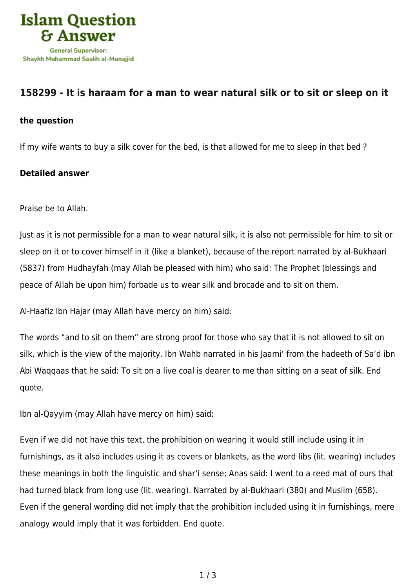

## **[158299 - It is haraam for a man to wear natural silk or to sit or sleep on it](https://islamqa.com/en/answers/158299/it-is-haraam-for-a-man-to-wear-natural-silk-or-to-sit-or-sleep-on-it)**

## **the question**

If my wife wants to buy a silk cover for the bed, is that allowed for me to sleep in that bed ?

## **Detailed answer**

Praise be to Allah.

Just as it is not permissible for a man to wear natural silk, it is also not permissible for him to sit or sleep on it or to cover himself in it (like a blanket), because of the report narrated by al-Bukhaari (5837) from Hudhayfah (may Allah be pleased with him) who said: The Prophet (blessings and peace of Allah be upon him) forbade us to wear silk and brocade and to sit on them.

Al-Haafiz Ibn Hajar (may Allah have mercy on him) said:

The words "and to sit on them" are strong proof for those who say that it is not allowed to sit on silk, which is the view of the majority. Ibn Wahb narrated in his Jaami' from the hadeeth of Sa'd ibn Abi Waqqaas that he said: To sit on a live coal is dearer to me than sitting on a seat of silk. End quote.

Ibn al-Qayyim (may Allah have mercy on him) said:

Even if we did not have this text, the prohibition on wearing it would still include using it in furnishings, as it also includes using it as covers or blankets, as the word libs (lit. wearing) includes these meanings in both the linguistic and shar'i sense; Anas said: I went to a reed mat of ours that had turned black from long use (lit. wearing). Narrated by al-Bukhaari (380) and Muslim (658). Even if the general wording did not imply that the prohibition included using it in furnishings, mere analogy would imply that it was forbidden. End quote.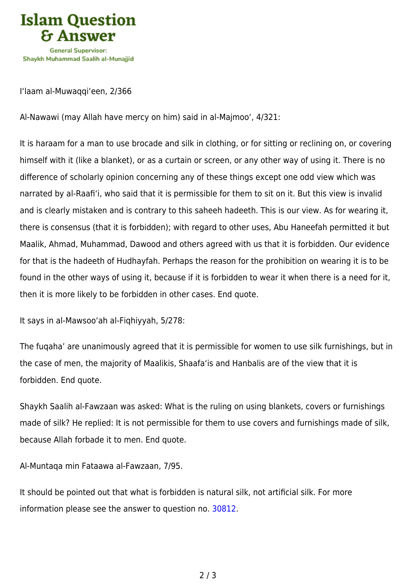

I'laam al-Muwaqqi'een, 2/366

Al-Nawawi (may Allah have mercy on him) said in al-Majmoo', 4/321:

It is haraam for a man to use brocade and silk in clothing, or for sitting or reclining on, or covering himself with it (like a blanket), or as a curtain or screen, or any other way of using it. There is no difference of scholarly opinion concerning any of these things except one odd view which was narrated by al-Raafi'i, who said that it is permissible for them to sit on it. But this view is invalid and is clearly mistaken and is contrary to this saheeh hadeeth. This is our view. As for wearing it, there is consensus (that it is forbidden); with regard to other uses, Abu Haneefah permitted it but Maalik, Ahmad, Muhammad, Dawood and others agreed with us that it is forbidden. Our evidence for that is the hadeeth of Hudhayfah. Perhaps the reason for the prohibition on wearing it is to be found in the other ways of using it, because if it is forbidden to wear it when there is a need for it, then it is more likely to be forbidden in other cases. End quote.

It says in al-Mawsoo'ah al-Fiqhiyyah, 5/278:

The fuqaha' are unanimously agreed that it is permissible for women to use silk furnishings, but in the case of men, the majority of Maalikis, Shaafa'is and Hanbalis are of the view that it is forbidden. End quote.

Shaykh Saalih al-Fawzaan was asked: What is the ruling on using blankets, covers or furnishings made of silk? He replied: It is not permissible for them to use covers and furnishings made of silk, because Allah forbade it to men. End quote.

Al-Muntaqa min Fataawa al-Fawzaan, 7/95.

It should be pointed out that what is forbidden is natural silk, not artificial silk. For more information please see the answer to question no. [30812.](https://islamqa.com/en/answers/30812)